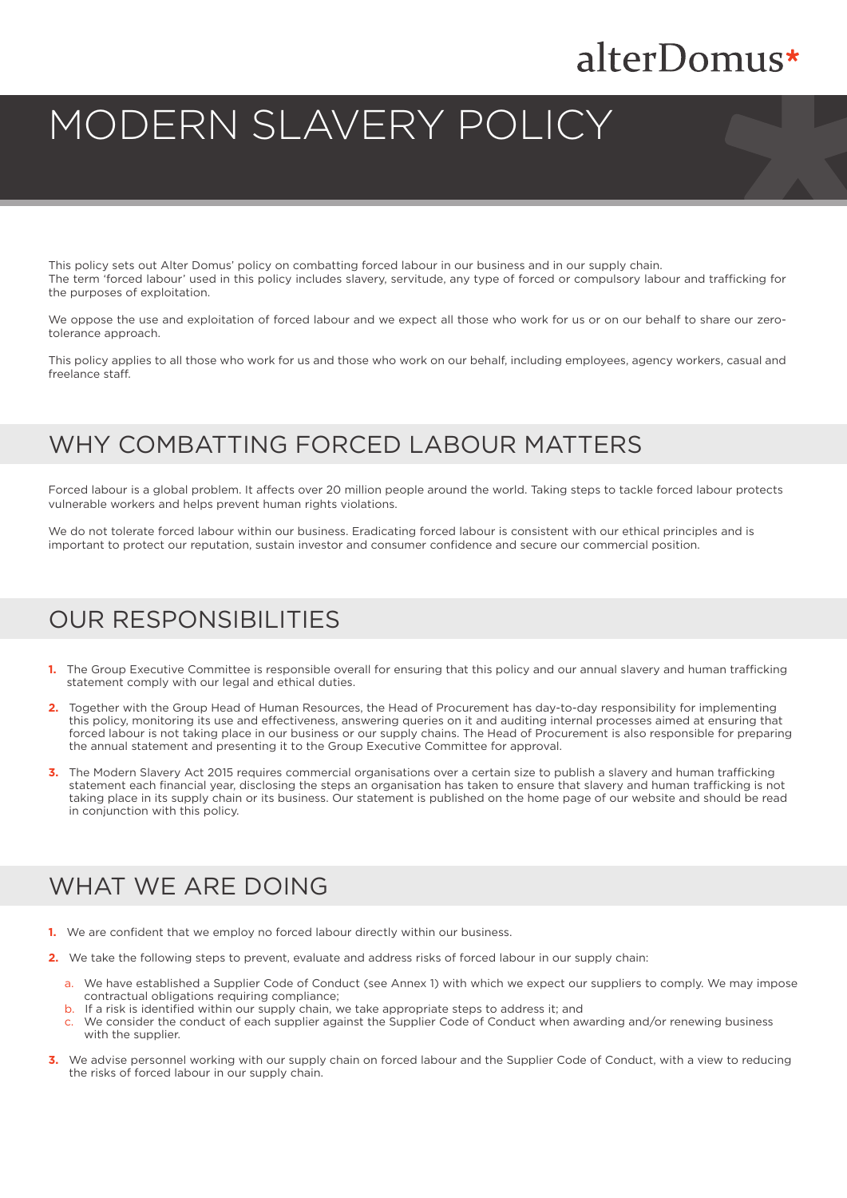## alterDomus\*

# MODERN SLAVERY POLICY

This policy sets out Alter Domus' policy on combatting forced labour in our business and in our supply chain. The term 'forced labour' used in this policy includes slavery, servitude, any type of forced or compulsory labour and trafficking for the purposes of exploitation.

We oppose the use and exploitation of forced labour and we expect all those who work for us or on our behalf to share our zerotolerance approach.

This policy applies to all those who work for us and those who work on our behalf, including employees, agency workers, casual and freelance staff.

#### WHY COMBATTING FORCED LABOUR MATTERS

Forced labour is a global problem. It affects over 20 million people around the world. Taking steps to tackle forced labour protects vulnerable workers and helps prevent human rights violations.

We do not tolerate forced labour within our business. Eradicating forced labour is consistent with our ethical principles and is important to protect our reputation, sustain investor and consumer confidence and secure our commercial position.

#### OUR RESPONSIBILITIES

- **1.** The Group Executive Committee is responsible overall for ensuring that this policy and our annual slavery and human trafficking statement comply with our legal and ethical duties.
- **2.** Together with the Group Head of Human Resources, the Head of Procurement has day-to-day responsibility for implementing this policy, monitoring its use and effectiveness, answering queries on it and auditing internal processes aimed at ensuring that forced labour is not taking place in our business or our supply chains. The Head of Procurement is also responsible for preparing the annual statement and presenting it to the Group Executive Committee for approval.
- **3.** The Modern Slavery Act 2015 requires commercial organisations over a certain size to publish a slavery and human trafficking statement each financial year, disclosing the steps an organisation has taken to ensure that slavery and human trafficking is not taking place in its supply chain or its business. Our statement is published on the home page of our website and should be read in conjunction with this policy.

#### WHAT WE ARE DOING

- **1.** We are confident that we employ no forced labour directly within our business.
- **2.** We take the following steps to prevent, evaluate and address risks of forced labour in our supply chain:
	- a. We have established a Supplier Code of Conduct (see Annex 1) with which we expect our suppliers to comply. We may impose contractual obligations requiring compliance;
	- b. If a risk is identified within our supply chain, we take appropriate steps to address it; and
	- We consider the conduct of each supplier against the Supplier Code of Conduct when awarding and/or renewing business with the supplier.
- **3.** We advise personnel working with our supply chain on forced labour and the Supplier Code of Conduct, with a view to reducing the risks of forced labour in our supply chain.